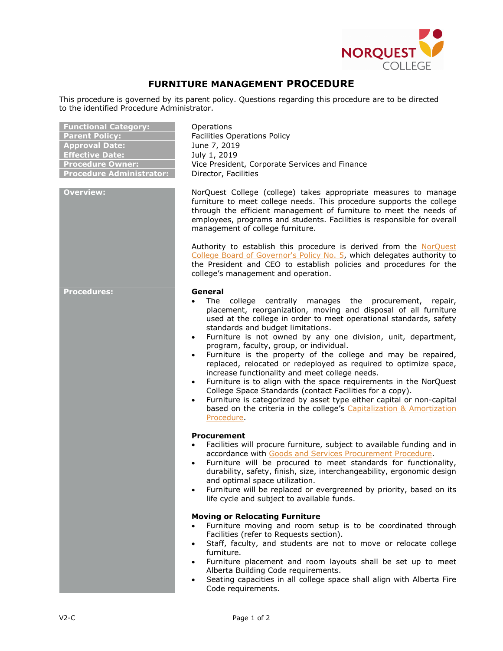

## **FURNITURE MANAGEMENT PROCEDURE**

This procedure is governed by its parent policy. Questions regarding this procedure are to be directed to the identified Procedure Administrator.

| <b>Functional Category:</b><br><b>Parent Policy:</b><br><b>Approval Date:</b><br><b>Effective Date:</b><br><b>Procedure Owner:</b><br><b>Procedure Administrator:</b> | Operations<br><b>Facilities Operations Policy</b><br>June 7, 2019<br>July 1, 2019<br>Vice President, Corporate Services and Finance<br>Director, Facilities                                                                                                                                                                                                                                                                                                                                                                                                                                                                                                                                                                                                                                                                                                                       |
|-----------------------------------------------------------------------------------------------------------------------------------------------------------------------|-----------------------------------------------------------------------------------------------------------------------------------------------------------------------------------------------------------------------------------------------------------------------------------------------------------------------------------------------------------------------------------------------------------------------------------------------------------------------------------------------------------------------------------------------------------------------------------------------------------------------------------------------------------------------------------------------------------------------------------------------------------------------------------------------------------------------------------------------------------------------------------|
| <b>Overview:</b>                                                                                                                                                      | NorQuest College (college) takes appropriate measures to manage<br>furniture to meet college needs. This procedure supports the college<br>through the efficient management of furniture to meet the needs of<br>employees, programs and students. Facilities is responsible for overall<br>management of college furniture.                                                                                                                                                                                                                                                                                                                                                                                                                                                                                                                                                      |
|                                                                                                                                                                       | Authority to establish this procedure is derived from the NorQuest<br>College Board of Governor's Policy No. 5, which delegates authority to<br>the President and CEO to establish policies and procedures for the<br>college's management and operation.                                                                                                                                                                                                                                                                                                                                                                                                                                                                                                                                                                                                                         |
| <b>Procedures:</b>                                                                                                                                                    | General<br>college centrally manages the procurement,<br>The<br>repair,<br>placement, reorganization, moving and disposal of all furniture<br>used at the college in order to meet operational standards, safety<br>standards and budget limitations.<br>Furniture is not owned by any one division, unit, department,<br>$\bullet$<br>program, faculty, group, or individual.<br>Furniture is the property of the college and may be repaired,<br>$\bullet$<br>replaced, relocated or redeployed as required to optimize space,<br>increase functionality and meet college needs.<br>Furniture is to align with the space requirements in the NorQuest<br>College Space Standards (contact Facilities for a copy).<br>Furniture is categorized by asset type either capital or non-capital<br>based on the criteria in the college's Capitalization & Amortization<br>Procedure. |
|                                                                                                                                                                       | <b>Procurement</b><br>Facilities will procure furniture, subject to available funding and in<br>accordance with Goods and Services Procurement Procedure.<br>Furniture will be procured to meet standards for functionality,<br>durability, safety, finish, size, interchangeability, ergonomic design<br>and optimal space utilization.<br>Furniture will be replaced or evergreened by priority, based on its<br>life cycle and subject to available funds.                                                                                                                                                                                                                                                                                                                                                                                                                     |
|                                                                                                                                                                       | <b>Moving or Relocating Furniture</b><br>Furniture moving and room setup is to be coordinated through<br>Facilities (refer to Requests section).<br>Staff, faculty, and students are not to move or relocate college<br>furniture.<br>Furniture placement and room layouts shall be set up to meet<br>$\bullet$<br>Alberta Building Code requirements.<br>Seating capacities in all college space shall align with Alberta Fire<br>$\bullet$<br>Code requirements.                                                                                                                                                                                                                                                                                                                                                                                                                |